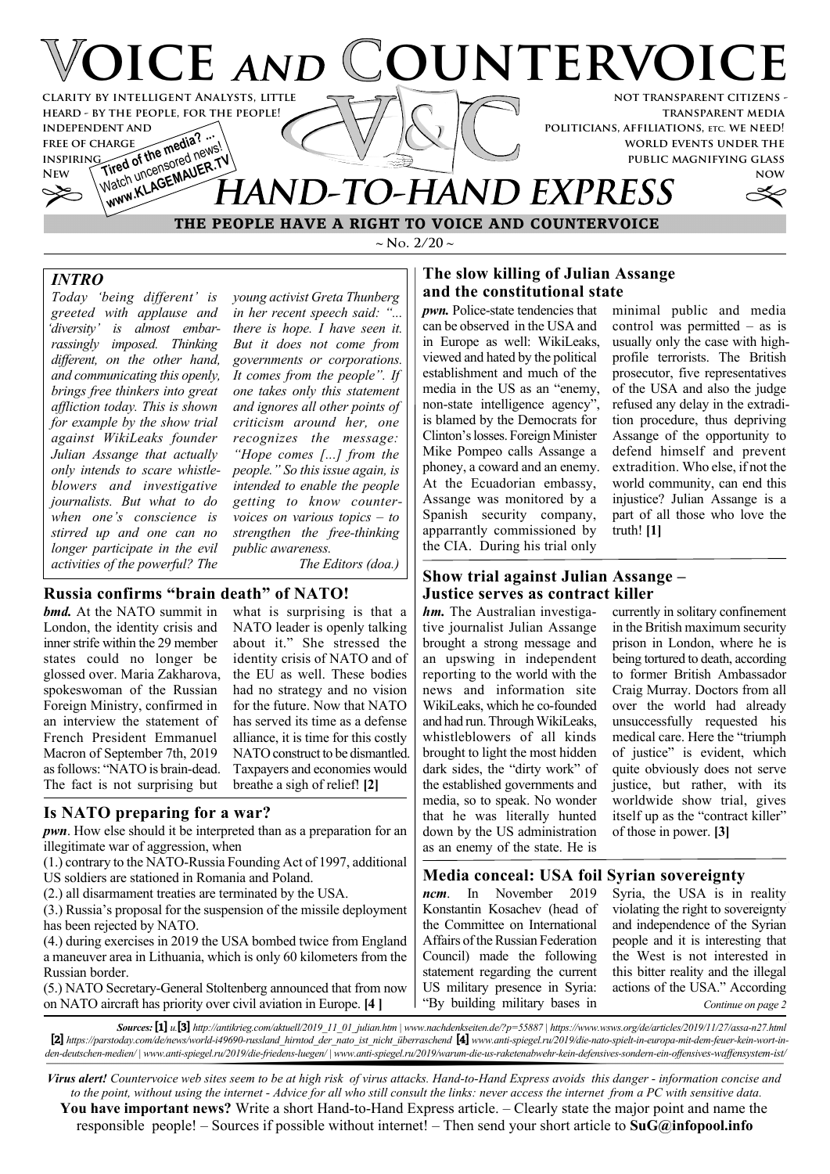

# **THE PEOPLE HAVE A RIGHT TO VOICE AND COUNTERVOICE**

 $\sim$  **N**<sub>o</sub>. 2/20  $\sim$ 

# *INTRO*

*Today 'being different' is greeted with applause and 'diversity' is almost embarrassingly imposed. Thinking different, on the other hand, and communicating this openly, brings free thinkers into great affliction today. This is shown for example by the show trial against WikiLeaks founder Julian Assange that actually only intends to scare whistleblowers and investigative journalists. But what to do when one's conscience is stirred up and one can no longer participate in the evil activities of the powerful? The*

*young activist Greta Thunberg in her recent speech said: "... there is hope. I have seen it. But it does not come from governments or corporations. It comes from the people". If one takes only this statement and ignores all other points of criticism around her, one recognizes the message: "Hope comes [...] from the people." So this issue again, is intended to enable the people getting to know countervoices on various topics – to strengthen the free-thinking public awareness.*

*The Editors (doa.)*

# **Russia confirms "brain death" of NATO!**

*bmd.* At the NATO summit in London, the identity crisis and inner strife within the 29 member states could no longer be glossed over. Maria Zakharova, spokeswoman of the Russian Foreign Ministry, confirmed in an interview the statement of French President Emmanuel Macron of September 7th, 2019 as follows: "NATO is brain-dead. The fact is not surprising but

what is surprising is that a NATO leader is openly talking about it." She stressed the identity crisis of NATO and of the EU as well. These bodies had no strategy and no vision for the future. Now that NATO has served its time as a defense alliance, it is time for this costly NATO construct to be dismantled. Taxpayers and economies would breathe a sigh of relief! **[2]**

## **Is NATO preparing for a war?**

*pwn*. How else should it be interpreted than as a preparation for an illegitimate war of aggression, when

- (1.) contrary to the NATO-Russia Founding Act of 1997, additional US soldiers are stationed in Romania and Poland.
- (2.) all disarmament treaties are terminated by the USA.

(3.) Russia's proposal for the suspension of the missile deployment has been rejected by NATO.

(4.) during exercises in 2019 the USA bombed twice from England a maneuver area in Lithuania, which is only 60 kilometers from the Russian border.

(5.) NATO Secretary-General Stoltenberg announced that from now on NATO aircraft has priority over civil aviation in Europe. **[4 ]**

#### **The slow killing of Julian Assange and the constitutional state**

*pwn.* Police-state tendencies that can be observed in the USA and in Europe as well: WikiLeaks, viewed and hated by the political establishment and much of the media in the US as an "enemy, non-state intelligence agency", is blamed by the Democrats for Clinton's losses. Foreign Minister Mike Pompeo calls Assange a phoney, a coward and an enemy. At the Ecuadorian embassy, Assange was monitored by a Spanish security company, apparrantly commissioned by the CIA. During his trial only

minimal public and media control was permitted  $-$  as is usually only the case with highprofile terrorists. The British prosecutor, five representatives of the USA and also the judge refused any delay in the extradition procedure, thus depriving Assange of the opportunity to defend himself and prevent extradition. Who else, if not the world community, can end this injustice? Julian Assange is a part of all those who love the truth! **[1]**

## **Show trial against Julian Assange – Justice serves as contract killer**

*hm.* The Australian investigative journalist Julian Assange brought a strong message and an upswing in independent reporting to the world with the news and information site WikiLeaks, which he co-founded and had run. Through WikiLeaks, whistleblowers of all kinds brought to light the most hidden dark sides, the "dirty work" of the established governments and media, so to speak. No wonder that he was literally hunted down by the US administration as an enemy of the state. He is

currently in solitary confinement in the British maximum security prison in London, where he is being tortured to death, according to former British Ambassador Craig Murray. Doctors from all over the world had already unsuccessfully requested his medical care. Here the "triumph of justice" is evident, which quite obviously does not serve justice, but rather, with its worldwide show trial, gives itself up as the "contract killer" of those in power. **[3]**

## **Media conceal: USA foil Syrian sovereignty**

*ncm*. In November 2019 Konstantin Kosachev (head of the Committee on International Affairs of the Russian Federation Council) made the following statement regarding the current US military presence in Syria: "By building military bases in Syria, the USA is in reality violating the right to sovereignty and independence of the Syrian people and it is interesting that the West is not interested in this bitter reality and the illegal actions of the USA." According *Continue on page 2*

*Sources:* **[1]** *u.***[3]** *http://antikrieg.com/aktuell/2019\_11\_01\_julian.htm | www.nachdenkseiten.de/?p=55887 | https://www.wsws.org/de/articles/2019/11/27/assa-n27.html* **[2]** *https://parstoday.com/de/news/world-i49690-russland\_hirntod\_der\_nato\_ist\_nicht\_überraschend* **[4]** *www.anti-spiegel.ru/2019/die-nato-spielt-in-europa-mit-dem-feuer-kein-wort-inden-deutschen-medien/ | www.anti-spiegel.ru/2019/die-friedens-luegen/ | www.anti-spiegel.ru/2019/warum-die-us-raketenabwehr-kein-defensives-sondern-ein-offensives-waffensystem-ist/*

*Virus alert! Countervoice web sites seem to be at high risk of virus attacks. Hand-to-Hand Express avoids this danger - information concise and to the point, without using the internet - Advice for all who still consult the links: never access the internet from a PC with sensitive data.* **You have important news?** Write a short Hand-to-Hand Express article. – Clearly state the major point and name the responsible people! – Sources if possible without internet! – Then send your short article to **SuG@infopool.info**